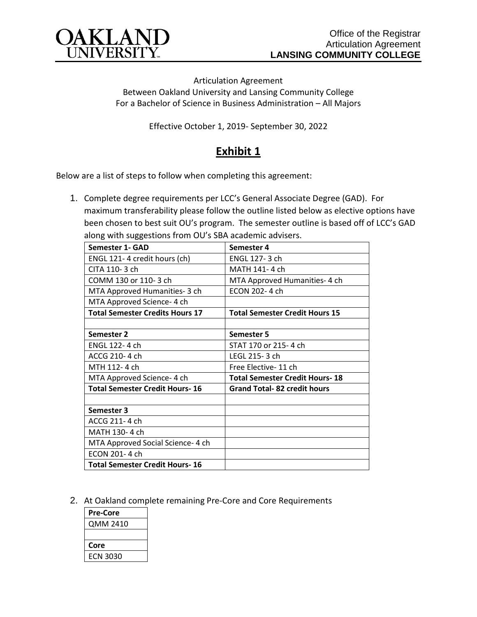

Articulation Agreement Between Oakland University and Lansing Community College For a Bachelor of Science in Business Administration – All Majors

Effective October 1, 2019- September 30, 2022

## **Exhibit 1**

Below are a list of steps to follow when completing this agreement:

1. Complete degree requirements per LCC's General Associate Degree (GAD). For maximum transferability please follow the outline listed below as elective options have been chosen to best suit OU's program. The semester outline is based off of LCC's GAD along with suggestions from OU's SBA academic advisers.

| Semester 1- GAD                        | Semester 4                            |
|----------------------------------------|---------------------------------------|
| ENGL 121-4 credit hours (ch)           | ENGL 127-3 ch                         |
| CITA 110-3 ch                          | MATH 141-4 ch                         |
| COMM 130 or 110-3 ch                   | MTA Approved Humanities- 4 ch         |
| MTA Approved Humanities- 3 ch          | ECON 202-4 ch                         |
| MTA Approved Science- 4 ch             |                                       |
| <b>Total Semester Credits Hours 17</b> | <b>Total Semester Credit Hours 15</b> |
|                                        |                                       |
| Semester 2                             | Semester 5                            |
| ENGL 122-4 ch                          | STAT 170 or 215-4 ch                  |
| ACCG 210-4 ch                          | LEGL 215-3 ch                         |
| MTH 112-4 ch                           | Free Elective-11 ch                   |
| MTA Approved Science- 4 ch             | <b>Total Semester Credit Hours-18</b> |
| <b>Total Semester Credit Hours-16</b>  | <b>Grand Total-82 credit hours</b>    |
|                                        |                                       |
| Semester 3                             |                                       |
| ACCG 211-4 ch                          |                                       |
| MATH 130-4 ch                          |                                       |
| MTA Approved Social Science- 4 ch      |                                       |
| ECON 201-4 ch                          |                                       |
| <b>Total Semester Credit Hours-16</b>  |                                       |

2. At Oakland complete remaining Pre-Core and Core Requirements

| Pre-Core |  |
|----------|--|
| QMM 2410 |  |
|          |  |
| Core     |  |
| ECN 3030 |  |